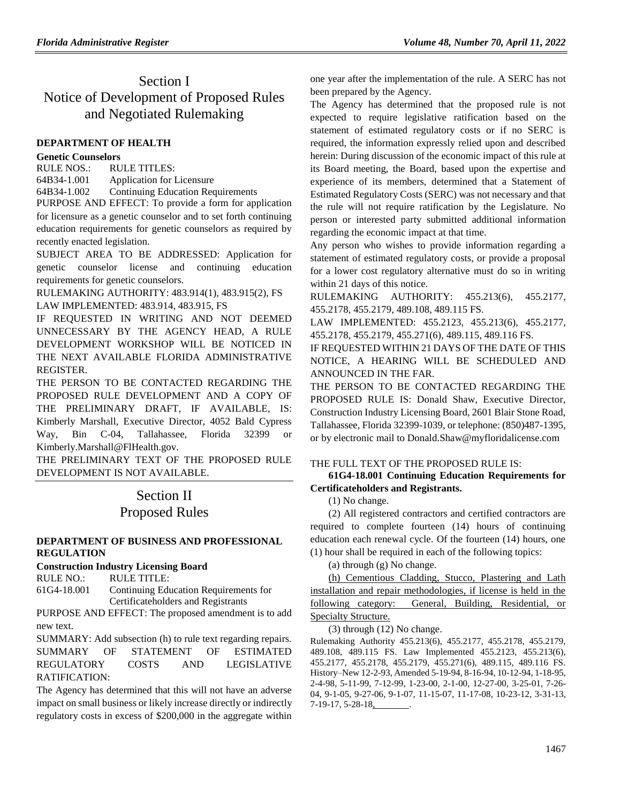## Section I Notice of Development of Proposed Rules and Negotiated Rulemaking

### **[DEPARTMENT OF HEALTH](https://www.flrules.org/gateway/department.asp?id=64)**

### **[Genetic Counselors](https://www.flrules.org/gateway/organization.asp?id=1442)**

RULE NOS.: RULE TITLES: [64B34-1.001](https://www.flrules.org/gateway/ruleNo.asp?id=64B34-1.001) Application for Licensure [64B34-1.002](https://www.flrules.org/gateway/ruleNo.asp?id=64B34-1.002) Continuing Education Requirements

PURPOSE AND EFFECT: To provide a form for application for licensure as a genetic counselor and to set forth continuing education requirements for genetic counselors as required by recently enacted legislation.

SUBJECT AREA TO BE ADDRESSED: Application for genetic counselor license and continuing education requirements for genetic counselors.

RULEMAKING AUTHORITY: [483.914\(1\), 483.915\(2\), FS](https://www.flrules.org/gateway/cfr.asp?id=483.914(1),%20483.915(2),%20FS) LAW IMPLEMENTED: [483.914, 483.915, FS](https://www.flrules.org/gateway/cfr.asp?id=483.914,%20483.915,%20FS)

IF REQUESTED IN WRITING AND NOT DEEMED UNNECESSARY BY THE AGENCY HEAD, A RULE DEVELOPMENT WORKSHOP WILL BE NOTICED IN THE NEXT AVAILABLE FLORIDA ADMINISTRATIVE REGISTER.

THE PERSON TO BE CONTACTED REGARDING THE PROPOSED RULE DEVELOPMENT AND A COPY OF THE PRELIMINARY DRAFT, IF AVAILABLE, IS: Kimberly Marshall, Executive Director, 4052 Bald Cypress Way, Bin C-04, Tallahassee, Florida 32399 or Kimberly.Marshall@FlHealth.gov.

THE PRELIMINARY TEXT OF THE PROPOSED RULE DEVELOPMENT IS NOT AVAILABLE.

# Section II Proposed Rules

### **[DEPARTMENT OF BUSINESS AND PROFESSIONAL](https://www.flrules.org/gateway/department.asp?id=61)  [REGULATION](https://www.flrules.org/gateway/department.asp?id=61)**

**[Construction Industry Licensing](https://www.flrules.org/gateway/organization.asp?id=274) Board**

RULE NO.: RULE TITLE: [61G4-18.001](https://www.flrules.org/gateway/ruleNo.asp?id=61G4-18.001) Continuing Education Requirements for Certificateholders and Registrants

PURPOSE AND EFFECT: The proposed amendment is to add new text.

SUMMARY: Add subsection (h) to rule text regarding repairs. SUMMARY OF STATEMENT OF ESTIMATED REGULATORY COSTS AND LEGISLATIVE RATIFICATION:

The Agency has determined that this will not have an adverse impact on small business or likely increase directly or indirectly regulatory costs in excess of \$200,000 in the aggregate within

one year after the implementation of the rule. A SERC has not been prepared by the Agency.

The Agency has determined that the proposed rule is not expected to require legislative ratification based on the statement of estimated regulatory costs or if no SERC is required, the information expressly relied upon and described herein: During discussion of the economic impact of this rule at its Board meeting, the Board, based upon the expertise and experience of its members, determined that a Statement of Estimated Regulatory Costs (SERC) was not necessary and that the rule will not require ratification by the Legislature. No person or interested party submitted additional information regarding the economic impact at that time.

Any person who wishes to provide information regarding a statement of estimated regulatory costs, or provide a proposal for a lower cost regulatory alternative must do so in writing within 21 days of this notice.

RULEMAKING AUTHORITY: [455.213\(6\),](https://www.flrules.org/gateway/statute.asp?id=455.213(6)) [455.2177,](https://www.flrules.org/gateway/statute.asp?id=%20455.2177) [455.2178,](https://www.flrules.org/gateway/statute.asp?id=%20455.2178) [455.2179,](https://www.flrules.org/gateway/statute.asp?id=%20455.2179) [489.108,](https://www.flrules.org/gateway/statute.asp?id=%20489.108) [489.115 FS.](https://www.flrules.org/gateway/statute.asp?id=%20489.115%20FS.)

LAW IMPLEMENTED: [455.2123,](https://www.flrules.org/gateway/statute.asp?id=455.2123) [455.213\(6\),](https://www.flrules.org/gateway/statute.asp?id=%20455.213(6)) [455.2177,](https://www.flrules.org/gateway/statute.asp?id=%20455.2177) [455.2178,](https://www.flrules.org/gateway/statute.asp?id=%20455.2178) [455.2179,](https://www.flrules.org/gateway/statute.asp?id=%20455.2179) [455.271\(6\),](https://www.flrules.org/gateway/statute.asp?id=%20455.271(6)) [489.115,](https://www.flrules.org/gateway/statute.asp?id=%20489.115) [489.116 FS.](https://www.flrules.org/gateway/statute.asp?id=%20489.116%20FS.)

IF REQUESTED WITHIN 21 DAYS OF THE DATE OF THIS NOTICE, A HEARING WILL BE SCHEDULED AND ANNOUNCED IN THE FAR.

THE PERSON TO BE CONTACTED REGARDING THE PROPOSED RULE IS: Donald Shaw, Executive Director, Construction Industry Licensing Board, 2601 Blair Stone Road, Tallahassee, Florida 32399-1039, or telephone: (850)487-1395, or by electronic mail to Donald.Shaw@myfloridalicense.com

### THE FULL TEXT OF THE PROPOSED RULE IS:

### **61G4-18.001 Continuing Education Requirements for Certificateholders and Registrants.**

(1) No change.

(2) All registered contractors and certified contractors are required to complete fourteen (14) hours of continuing education each renewal cycle. Of the fourteen (14) hours, one (1) hour shall be required in each of the following topics:

(a) through (g) No change.

(h) Cementious Cladding, Stucco, Plastering and Lath installation and repair methodologies, if license is held in the following category: General, Building, Residential, or Specialty Structure.

(3) through (12) No change.

Rulemaking Authority 455.213(6), 455.2177, 455.2178, 455.2179, 489.108, 489.115 FS. Law Implemented 455.2123, 455.213(6), 455.2177, 455.2178, 455.2179, 455.271(6), 489.115, 489.116 FS. History–New 12-2-93, Amended 5-19-94, 8-16-94, 10-12-94, 1-18-95, 2-4-98, 5-11-99, 7-12-99, 1-23-00, 2-1-00, 12-27-00, 3-25-01, 7-26- 04, 9-1-05, 9-27-06, 9-1-07, 11-15-07, 11-17-08, 10-23-12, 3-31-13, 7-19-17, 5-28-18, .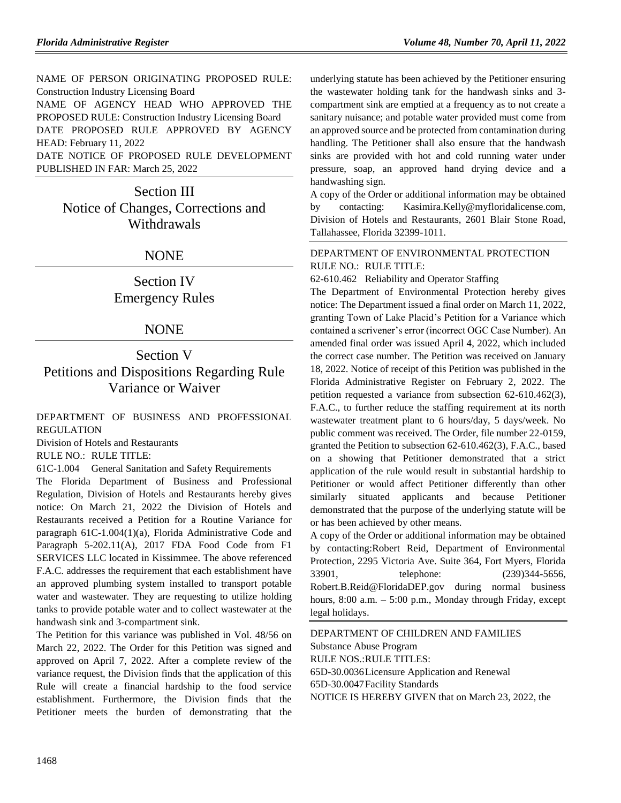NAME OF PERSON ORIGINATING PROPOSED RULE: Construction Industry Licensing Board NAME OF AGENCY HEAD WHO APPROVED THE PROPOSED RULE: Construction Industry Licensing Board

DATE PROPOSED RULE APPROVED BY AGENCY HEAD: February 11, 2022

DATE NOTICE OF PROPOSED RULE DEVELOPMENT PUBLISHED IN FAR: March 25, 2022

Section III Notice of Changes, Corrections and Withdrawals

### NONE

## Section IV Emergency Rules

### NONE

Section V Petitions and Dispositions Regarding Rule Variance or Waiver

#### [DEPARTMENT OF BUSINESS AND PROFESSIONAL](https://www.flrules.org/gateway/department.asp?id=61)  [REGULATION](https://www.flrules.org/gateway/department.asp?id=61)

[Division of Hotels and Restaurants](https://www.flrules.org/gateway/organization.asp?id=249)

RULE NO.: RULE TITLE:

[61C-1.004](https://www.flrules.org/gateway/ruleNo.asp?id=61C-1.004) General Sanitation and Safety Requirements

The Florida Department of Business and Professional Regulation, Division of Hotels and Restaurants hereby gives notice: On March 21, 2022 the Division of Hotels and Restaurants received a Petition for a Routine Variance for paragraph 61C-1.004(1)(a), Florida Administrative Code and Paragraph 5-202.11(A), 2017 FDA Food Code from F1 SERVICES LLC located in Kissimmee. The above referenced F.A.C. addresses the requirement that each establishment have an approved plumbing system installed to transport potable water and wastewater. They are requesting to utilize holding tanks to provide potable water and to collect wastewater at the handwash sink and 3-compartment sink.

The Petition for this variance was published in Vol. 48/56 on March 22, 2022. The Order for this Petition was signed and approved on April 7, 2022. After a complete review of the variance request, the Division finds that the application of this Rule will create a financial hardship to the food service establishment. Furthermore, the Division finds that the Petitioner meets the burden of demonstrating that the underlying statute has been achieved by the Petitioner ensuring the wastewater holding tank for the handwash sinks and 3 compartment sink are emptied at a frequency as to not create a sanitary nuisance; and potable water provided must come from an approved source and be protected from contamination during handling. The Petitioner shall also ensure that the handwash sinks are provided with hot and cold running water under pressure, soap, an approved hand drying device and a handwashing sign.

A copy of the Order or additional information may be obtained by contacting: Kasimira.Kelly@myfloridalicense.com, Division of Hotels and Restaurants, 2601 Blair Stone Road, Tallahassee, Florida 32399-1011.

#### [DEPARTMENT OF ENVIRONMENTAL PROTECTION](https://www.flrules.org/gateway/department.asp?id=62) RULE NO.: RULE TITLE:

[62-610.462](https://www.flrules.org/gateway/ruleNo.asp?id=62-610.462) Reliability and Operator Staffing

The Department of Environmental Protection hereby gives notice: The Department issued a final order on March 11, 2022, granting Town of Lake Placid's Petition for a Variance which contained a scrivener's error (incorrect OGC Case Number). An amended final order was issued April 4, 2022, which included the correct case number. The Petition was received on January 18, 2022. Notice of receipt of this Petition was published in the Florida Administrative Register on February 2, 2022. The petition requested a variance from subsection 62-610.462(3), F.A.C., to further reduce the staffing requirement at its north wastewater treatment plant to 6 hours/day, 5 days/week. No public comment was received. The Order, file number 22-0159, granted the Petition to subsection 62-610.462(3), F.A.C., based on a showing that Petitioner demonstrated that a strict application of the rule would result in substantial hardship to Petitioner or would affect Petitioner differently than other similarly situated applicants and because Petitioner demonstrated that the purpose of the underlying statute will be or has been achieved by other means.

A copy of the Order or additional information may be obtained by contacting:Robert Reid, Department of Environmental Protection, 2295 Victoria Ave. Suite 364, Fort Myers, Florida 33901, telephone: (239)344-5656, Robert.B.Reid@FloridaDEP.gov during normal business hours,  $8:00$  a.m.  $-5:00$  p.m., Monday through Friday, except legal holidays.

[DEPARTMENT OF CHILDREN AND FAMILIES](https://www.flrules.org/gateway/department.asp?id=65) [Substance Abuse Program](https://www.flrules.org/gateway/organization.asp?id=343) RULE NOS.:RULE TITLES: [65D-30.0036L](https://www.flrules.org/gateway/ruleNo.asp?id=65D-30.0036)icensure Application and Renewal [65D-30.0047F](https://www.flrules.org/gateway/ruleNo.asp?id=65D-30.0047)acility Standards NOTICE IS HEREBY GIVEN that on March 23, 2022, the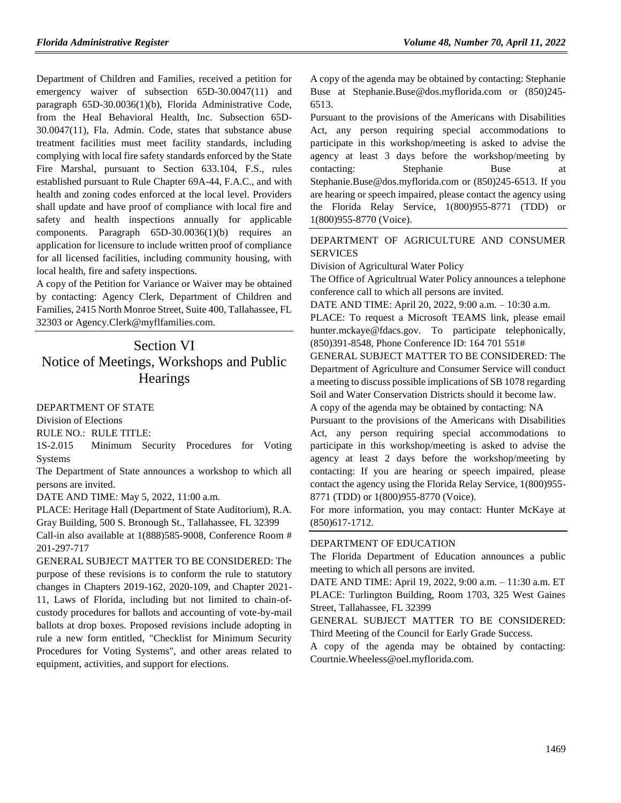Department of Children and Families, received a petition for emergency waiver of subsection 65D-30.0047(11) and paragraph 65D-30.0036(1)(b), Florida Administrative Code, from the Heal Behavioral Health, Inc. Subsection 65D-30.0047(11), Fla. Admin. Code, states that substance abuse treatment facilities must meet facility standards, including complying with local fire safety standards enforced by the State Fire Marshal, pursuant to Section 633.104, F.S., rules established pursuant to Rule Chapter 69A-44, F.A.C., and with health and zoning codes enforced at the local level. Providers shall update and have proof of compliance with local fire and safety and health inspections annually for applicable components. Paragraph 65D-30.0036(1)(b) requires an application for licensure to include written proof of compliance for all licensed facilities, including community housing, with local health, fire and safety inspections.

A copy of the Petition for Variance or Waiver may be obtained by contacting: Agency Clerk, Department of Children and Families, 2415 North Monroe Street, Suite 400, Tallahassee, FL 32303 or Agency.Clerk@myflfamilies.com.

## Section VI Notice of Meetings, Workshops and Public **Hearings**

[DEPARTMENT OF STATE](https://www.flrules.org/gateway/department.asp?id=1)

[Division of Elections](https://www.flrules.org/gateway/organization.asp?id=16)

RULE NO.: RULE TITLE:

[1S-2.015](https://www.flrules.org/gateway/ruleNo.asp?id=1S-2.015) Minimum Security Procedures for Voting Systems

The Department of State announces a workshop to which all persons are invited.

DATE AND TIME: May 5, 2022, 11:00 a.m.

PLACE: Heritage Hall (Department of State Auditorium), R.A. Gray Building, 500 S. Bronough St., Tallahassee, FL 32399

Call-in also available at 1(888)585-9008, Conference Room # 201-297-717

GENERAL SUBJECT MATTER TO BE CONSIDERED: The purpose of these revisions is to conform the rule to statutory changes in Chapters 2019-162, 2020-109, and Chapter 2021- 11, Laws of Florida, including but not limited to chain-ofcustody procedures for ballots and accounting of vote-by-mail ballots at drop boxes. Proposed revisions include adopting in rule a new form entitled, "Checklist for Minimum Security Procedures for Voting Systems", and other areas related to equipment, activities, and support for elections.

A copy of the agenda may be obtained by contacting: Stephanie Buse at Stephanie.Buse@dos.myflorida.com or (850)245- 6513.

Pursuant to the provisions of the Americans with Disabilities Act, any person requiring special accommodations to participate in this workshop/meeting is asked to advise the agency at least 3 days before the workshop/meeting by contacting: Stephanie Buse at Stephanie.Buse@dos.myflorida.com or (850)245-6513. If you are hearing or speech impaired, please contact the agency using the Florida Relay Service, 1(800)955-8771 (TDD) or 1(800)955-8770 (Voice).

#### [DEPARTMENT OF AGRICULTURE AND CONSUMER](https://www.flrules.org/gateway/department.asp?id=5)  [SERVICES](https://www.flrules.org/gateway/department.asp?id=5)

[Division of Agricultural Water Policy](https://www.flrules.org/gateway/organization.asp?id=173)

The Office of Agricultrual Water Policy announces a telephone conference call to which all persons are invited.

DATE AND TIME: April 20, 2022, 9:00 a.m. – 10:30 a.m.

PLACE: To request a Microsoft TEAMS link, please email hunter.mckaye@fdacs.gov. To participate telephonically, (850)391-8548, Phone Conference ID: 164 701 551#

GENERAL SUBJECT MATTER TO BE CONSIDERED: The Department of Agriculture and Consumer Service will conduct a meeting to discuss possible implications of SB 1078 regarding Soil and Water Conservation Districts should it become law.

A copy of the agenda may be obtained by contacting: NA

Pursuant to the provisions of the Americans with Disabilities Act, any person requiring special accommodations to participate in this workshop/meeting is asked to advise the agency at least 2 days before the workshop/meeting by contacting: If you are hearing or speech impaired, please contact the agency using the Florida Relay Service, 1(800)955- 8771 (TDD) or 1(800)955-8770 (Voice).

For more information, you may contact: Hunter McKaye at (850)617-1712.

#### [DEPARTMENT OF EDUCATION](https://www.flrules.org/gateway/department.asp?id=6)

The Florida Department of Education announces a public meeting to which all persons are invited.

DATE AND TIME: April 19, 2022, 9:00 a.m. – 11:30 a.m. ET PLACE: Turlington Building, Room 1703, 325 West Gaines Street, Tallahassee, FL 32399

GENERAL SUBJECT MATTER TO BE CONSIDERED: Third Meeting of the Council for Early Grade Success.

A copy of the agenda may be obtained by contacting: Courtnie.Wheeless@oel.myflorida.com.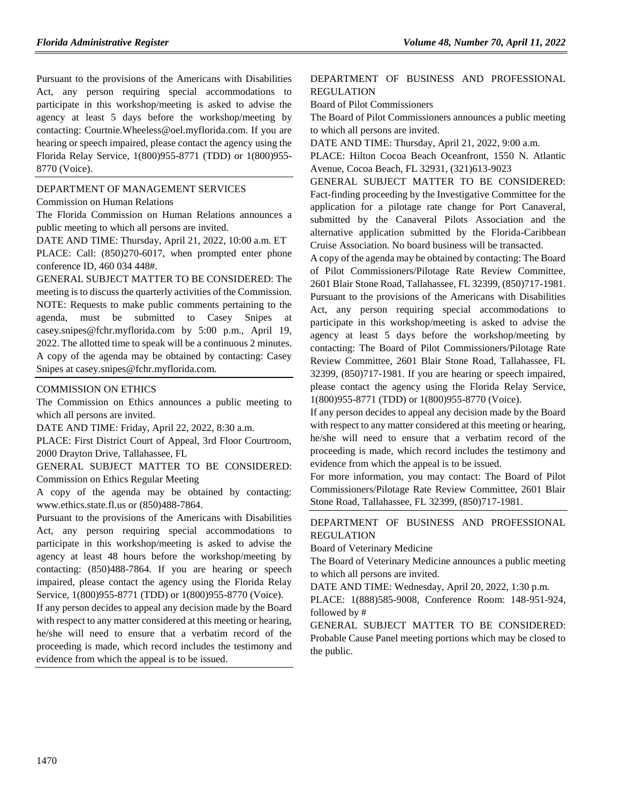Pursuant to the provisions of the Americans with Disabilities Act, any person requiring special accommodations to participate in this workshop/meeting is asked to advise the agency at least 5 days before the workshop/meeting by contacting: Courtnie.Wheeless@oel.myflorida.com. If you are hearing or speech impaired, please contact the agency using the Florida Relay Service, 1(800)955-8771 (TDD) or 1(800)955- 8770 (Voice).

#### [DEPARTMENT OF MANAGEMENT SERVICES](https://www.flrules.org/gateway/department.asp?id=60)

#### [Commission on Human Relations](https://www.flrules.org/gateway/organization.asp?id=245)

The Florida Commission on Human Relations announces a public meeting to which all persons are invited.

DATE AND TIME: Thursday, April 21, 2022, 10:00 a.m. ET

PLACE: Call: (850)270-6017, when prompted enter phone conference ID, 460 034 448#.

GENERAL SUBJECT MATTER TO BE CONSIDERED: The meeting is to discuss the quarterly activities of the Commission. NOTE: Requests to make public comments pertaining to the agenda, must be submitted to Casey Snipes at casey.snipes@fchr.myflorida.com by 5:00 p.m., April 19, 2022. The allotted time to speak will be a continuous 2 minutes. A copy of the agenda may be obtained by contacting: Casey Snipes at casey.snipes@fchr.myflorida.com.

#### [COMMISSION ON ETHICS](https://www.flrules.org/gateway/department.asp?id=34)

The Commission on Ethics announces a public meeting to which all persons are invited.

DATE AND TIME: Friday, April 22, 2022, 8:30 a.m.

PLACE: First District Court of Appeal, 3rd Floor Courtroom, 2000 Drayton Drive, Tallahassee, FL

GENERAL SUBJECT MATTER TO BE CONSIDERED: Commission on Ethics Regular Meeting

A copy of the agenda may be obtained by contacting: www.ethics.state.fl.us or (850)488-7864.

Pursuant to the provisions of the Americans with Disabilities Act, any person requiring special accommodations to participate in this workshop/meeting is asked to advise the agency at least 48 hours before the workshop/meeting by contacting: (850)488-7864. If you are hearing or speech impaired, please contact the agency using the Florida Relay Service, 1(800)955-8771 (TDD) or 1(800)955-8770 (Voice).

If any person decides to appeal any decision made by the Board with respect to any matter considered at this meeting or hearing, he/she will need to ensure that a verbatim record of the proceeding is made, which record includes the testimony and evidence from which the appeal is to be issued.

#### [DEPARTMENT OF BUSINESS AND PROFESSIONAL](https://www.flrules.org/gateway/department.asp?id=61)  [REGULATION](https://www.flrules.org/gateway/department.asp?id=61)

[Board of Pilot Commissioners](https://www.flrules.org/gateway/organization.asp?id=266)

The Board of Pilot Commissioners announces a public meeting to which all persons are invited.

DATE AND TIME: Thursday, April 21, 2022, 9:00 a.m.

PLACE: Hilton Cocoa Beach Oceanfront, 1550 N. Atlantic Avenue, Cocoa Beach, FL 32931, (321)613-9023

GENERAL SUBJECT MATTER TO BE CONSIDERED: Fact-finding proceeding by the Investigative Committee for the application for a pilotage rate change for Port Canaveral, submitted by the Canaveral Pilots Association and the alternative application submitted by the Florida-Caribbean Cruise Association. No board business will be transacted.

A copy of the agenda may be obtained by contacting: The Board of Pilot Commissioners/Pilotage Rate Review Committee, 2601 Blair Stone Road, Tallahassee, FL 32399, (850)717-1981. Pursuant to the provisions of the Americans with Disabilities Act, any person requiring special accommodations to participate in this workshop/meeting is asked to advise the agency at least 5 days before the workshop/meeting by contacting: The Board of Pilot Commissioners/Pilotage Rate Review Committee, 2601 Blair Stone Road, Tallahassee, FL 32399, (850)717-1981. If you are hearing or speech impaired, please contact the agency using the Florida Relay Service, 1(800)955-8771 (TDD) or 1(800)955-8770 (Voice).

If any person decides to appeal any decision made by the Board with respect to any matter considered at this meeting or hearing, he/she will need to ensure that a verbatim record of the proceeding is made, which record includes the testimony and evidence from which the appeal is to be issued.

For more information, you may contact: The Board of Pilot Commissioners/Pilotage Rate Review Committee, 2601 Blair Stone Road, Tallahassee, FL 32399, (850)717-1981.

#### [DEPARTMENT OF BUSINESS AND PROFESSIONAL](https://www.flrules.org/gateway/department.asp?id=61)  [REGULATION](https://www.flrules.org/gateway/department.asp?id=61)

[Board of Veterinary Medicine](https://www.flrules.org/gateway/organization.asp?id=270)

The Board of Veterinary Medicine announces a public meeting to which all persons are invited.

DATE AND TIME: Wednesday, April 20, 2022, 1:30 p.m.

PLACE: 1(888)585-9008, Conference Room: 148-951-924, followed by #

GENERAL SUBJECT MATTER TO BE CONSIDERED: Probable Cause Panel meeting portions which may be closed to the public.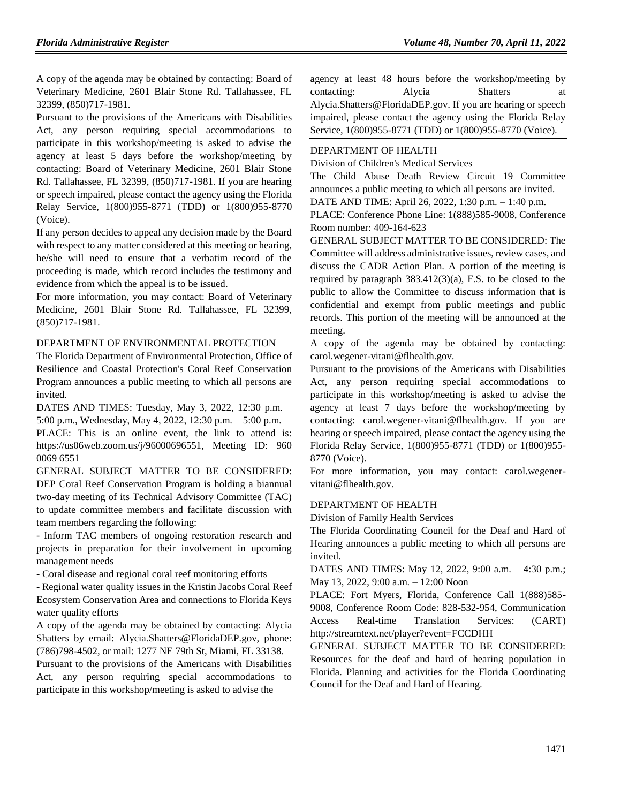A copy of the agenda may be obtained by contacting: Board of Veterinary Medicine, 2601 Blair Stone Rd. Tallahassee, FL 32399, (850)717-1981.

Pursuant to the provisions of the Americans with Disabilities Act, any person requiring special accommodations to participate in this workshop/meeting is asked to advise the agency at least 5 days before the workshop/meeting by contacting: Board of Veterinary Medicine, 2601 Blair Stone Rd. Tallahassee, FL 32399, (850)717-1981. If you are hearing or speech impaired, please contact the agency using the Florida Relay Service, 1(800)955-8771 (TDD) or 1(800)955-8770 (Voice).

If any person decides to appeal any decision made by the Board with respect to any matter considered at this meeting or hearing, he/she will need to ensure that a verbatim record of the proceeding is made, which record includes the testimony and evidence from which the appeal is to be issued.

For more information, you may contact: Board of Veterinary Medicine, 2601 Blair Stone Rd. Tallahassee, FL 32399, (850)717-1981.

#### [DEPARTMENT OF ENVIRONMENTAL PROTECTION](https://www.flrules.org/gateway/department.asp?id=62)

The Florida Department of Environmental Protection, Office of Resilience and Coastal Protection's Coral Reef Conservation Program announces a public meeting to which all persons are invited.

DATES AND TIMES: Tuesday, May 3, 2022, 12:30 p.m. – 5:00 p.m., Wednesday, May 4, 2022, 12:30 p.m. – 5:00 p.m.

PLACE: This is an online event, the link to attend is: https://us06web.zoom.us/j/96000696551, Meeting ID: 960 0069 6551

GENERAL SUBJECT MATTER TO BE CONSIDERED: DEP Coral Reef Conservation Program is holding a biannual two-day meeting of its Technical Advisory Committee (TAC) to update committee members and facilitate discussion with team members regarding the following:

- Inform TAC members of ongoing restoration research and projects in preparation for their involvement in upcoming management needs

- Coral disease and regional coral reef monitoring efforts

- Regional water quality issues in the Kristin Jacobs Coral Reef Ecosystem Conservation Area and connections to Florida Keys water quality efforts

A copy of the agenda may be obtained by contacting: Alycia Shatters by email: Alycia.Shatters@FloridaDEP.gov, phone: (786)798-4502, or mail: 1277 NE 79th St, Miami, FL 33138.

Pursuant to the provisions of the Americans with Disabilities Act, any person requiring special accommodations to participate in this workshop/meeting is asked to advise the

agency at least 48 hours before the workshop/meeting by contacting: Alycia Shatters at Alycia.Shatters@FloridaDEP.gov. If you are hearing or speech impaired, please contact the agency using the Florida Relay Service, 1(800)955-8771 (TDD) or 1(800)955-8770 (Voice).

#### [DEPARTMENT OF HEALTH](https://www.flrules.org/gateway/department.asp?id=64)

[Division of Children's Medical Services](https://www.flrules.org/gateway/organization.asp?id=333)

The Child Abuse Death Review Circuit 19 Committee announces a public meeting to which all persons are invited.

DATE AND TIME: April 26, 2022, 1:30 p.m. – 1:40 p.m.

PLACE: Conference Phone Line: 1(888)585-9008, Conference Room number: 409-164-623

GENERAL SUBJECT MATTER TO BE CONSIDERED: The Committee will address administrative issues, review cases, and discuss the CADR Action Plan. A portion of the meeting is required by paragraph 383.412(3)(a), F.S. to be closed to the public to allow the Committee to discuss information that is confidential and exempt from public meetings and public records. This portion of the meeting will be announced at the meeting.

A copy of the agenda may be obtained by contacting: carol.wegener-vitani@flhealth.gov.

Pursuant to the provisions of the Americans with Disabilities Act, any person requiring special accommodations to participate in this workshop/meeting is asked to advise the agency at least 7 days before the workshop/meeting by contacting: carol.wegener-vitani@flhealth.gov. If you are hearing or speech impaired, please contact the agency using the Florida Relay Service, 1(800)955-8771 (TDD) or 1(800)955- 8770 (Voice).

For more information, you may contact: carol.wegenervitani@flhealth.gov.

#### [DEPARTMENT OF HEALTH](https://www.flrules.org/gateway/department.asp?id=64)

[Division of Family Health Services](https://www.flrules.org/gateway/organization.asp?id=336)

The Florida Coordinating Council for the Deaf and Hard of Hearing announces a public meeting to which all persons are invited.

DATES AND TIMES: May 12, 2022, 9:00 a.m. – 4:30 p.m.; May 13, 2022, 9:00 a.m. – 12:00 Noon

PLACE: Fort Myers, Florida, Conference Call 1(888)585- 9008, Conference Room Code: 828-532-954, Communication Access Real-time Translation Services: (CART) http://streamtext.net/player?event=FCCDHH

GENERAL SUBJECT MATTER TO BE CONSIDERED: Resources for the deaf and hard of hearing population in Florida. Planning and activities for the Florida Coordinating Council for the Deaf and Hard of Hearing.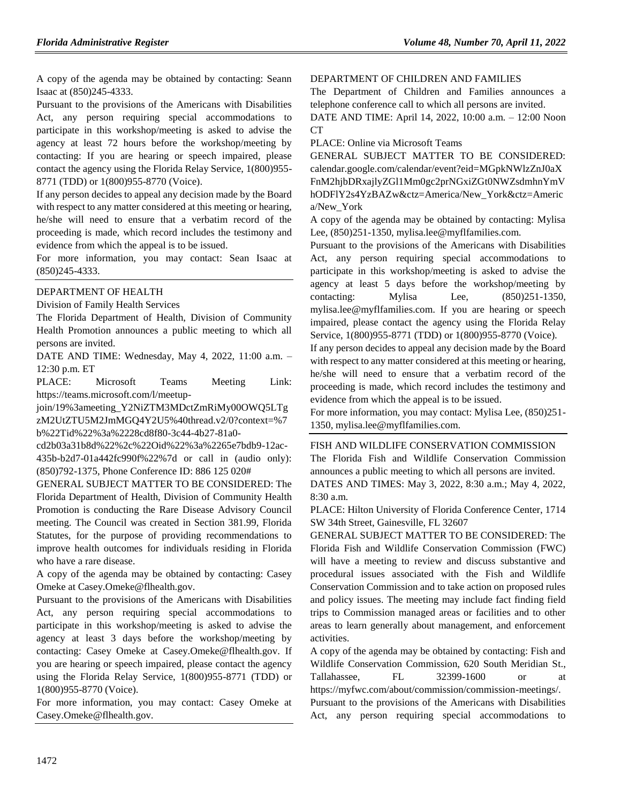A copy of the agenda may be obtained by contacting: Seann Isaac at (850)245-4333.

Pursuant to the provisions of the Americans with Disabilities Act, any person requiring special accommodations to participate in this workshop/meeting is asked to advise the agency at least 72 hours before the workshop/meeting by contacting: If you are hearing or speech impaired, please contact the agency using the Florida Relay Service, 1(800)955- 8771 (TDD) or 1(800)955-8770 (Voice).

If any person decides to appeal any decision made by the Board with respect to any matter considered at this meeting or hearing, he/she will need to ensure that a verbatim record of the proceeding is made, which record includes the testimony and evidence from which the appeal is to be issued.

For more information, you may contact: Sean Isaac at (850)245-4333.

#### [DEPARTMENT OF HEALTH](https://www.flrules.org/gateway/department.asp?id=64)

[Division of Family Health Services](https://www.flrules.org/gateway/organization.asp?id=336)

The Florida Department of Health, Division of Community Health Promotion announces a public meeting to which all persons are invited.

DATE AND TIME: Wednesday, May 4, 2022, 11:00 a.m. – 12:30 p.m. ET

PLACE: Microsoft Teams Meeting Link: https://teams.microsoft.com/l/meetup-

join/19%3ameeting\_Y2NiZTM3MDctZmRiMy00OWQ5LTg zM2UtZTU5M2JmMGQ4Y2U5%40thread.v2/0?context=%7 b%22Tid%22%3a%2228cd8f80-3c44-4b27-81a0-

cd2b03a31b8d%22%2c%22Oid%22%3a%2265e7bdb9-12ac-435b-b2d7-01a442fc990f%22%7d or call in (audio only): (850)792-1375, Phone Conference ID: 886 125 020#

GENERAL SUBJECT MATTER TO BE CONSIDERED: The Florida Department of Health, Division of Community Health Promotion is conducting the Rare Disease Advisory Council meeting. The Council was created in Section 381.99, Florida Statutes, for the purpose of providing recommendations to improve health outcomes for individuals residing in Florida who have a rare disease.

A copy of the agenda may be obtained by contacting: Casey Omeke at Casey.Omeke@flhealth.gov.

Pursuant to the provisions of the Americans with Disabilities Act, any person requiring special accommodations to participate in this workshop/meeting is asked to advise the agency at least 3 days before the workshop/meeting by contacting: Casey Omeke at Casey.Omeke@flhealth.gov. If you are hearing or speech impaired, please contact the agency using the Florida Relay Service, 1(800)955-8771 (TDD) or 1(800)955-8770 (Voice).

For more information, you may contact: Casey Omeke at Casey.Omeke@flhealth.gov.

#### [DEPARTMENT OF CHILDREN AND FAMILIES](https://www.flrules.org/gateway/department.asp?id=65)

The Department of Children and Families announces a telephone conference call to which all persons are invited.

DATE AND TIME: April 14, 2022, 10:00 a.m. – 12:00 Noon CT

PLACE: Online via Microsoft Teams

GENERAL SUBJECT MATTER TO BE CONSIDERED: calendar.google.com/calendar/event?eid=MGpkNWlzZnJ0aX FnM2hjbDRxajlyZGl1Mm0gc2prNGxiZGt0NWZsdmhnYmV hODFlY2s4YzBAZw&ctz=America/New\_York&ctz=Americ a/New\_York

A copy of the agenda may be obtained by contacting: Mylisa Lee, (850)251-1350, mylisa.lee@myflfamilies.com.

Pursuant to the provisions of the Americans with Disabilities Act, any person requiring special accommodations to participate in this workshop/meeting is asked to advise the agency at least 5 days before the workshop/meeting by contacting: Mylisa Lee, (850)251-1350, mylisa.lee@myflfamilies.com. If you are hearing or speech impaired, please contact the agency using the Florida Relay Service, 1(800)955-8771 (TDD) or 1(800)955-8770 (Voice).

If any person decides to appeal any decision made by the Board with respect to any matter considered at this meeting or hearing, he/she will need to ensure that a verbatim record of the proceeding is made, which record includes the testimony and evidence from which the appeal is to be issued.

For more information, you may contact: Mylisa Lee, (850)251- 1350, mylisa.lee@myflfamilies.com.

#### [FISH AND WILDLIFE CONSERVATION COMMISSION](https://www.flrules.org/gateway/department.asp?id=68)

The Florida Fish and Wildlife Conservation Commission announces a public meeting to which all persons are invited.

DATES AND TIMES: May 3, 2022, 8:30 a.m.; May 4, 2022, 8:30 a.m.

PLACE: Hilton University of Florida Conference Center, 1714 SW 34th Street, Gainesville, FL 32607

GENERAL SUBJECT MATTER TO BE CONSIDERED: The Florida Fish and Wildlife Conservation Commission (FWC) will have a meeting to review and discuss substantive and procedural issues associated with the Fish and Wildlife Conservation Commission and to take action on proposed rules and policy issues. The meeting may include fact finding field trips to Commission managed areas or facilities and to other areas to learn generally about management, and enforcement activities.

A copy of the agenda may be obtained by contacting: Fish and Wildlife Conservation Commission, 620 South Meridian St., Tallahassee, FL 32399-1600 or at https://myfwc.com/about/commission/commission-meetings/.

Pursuant to the provisions of the Americans with Disabilities Act, any person requiring special accommodations to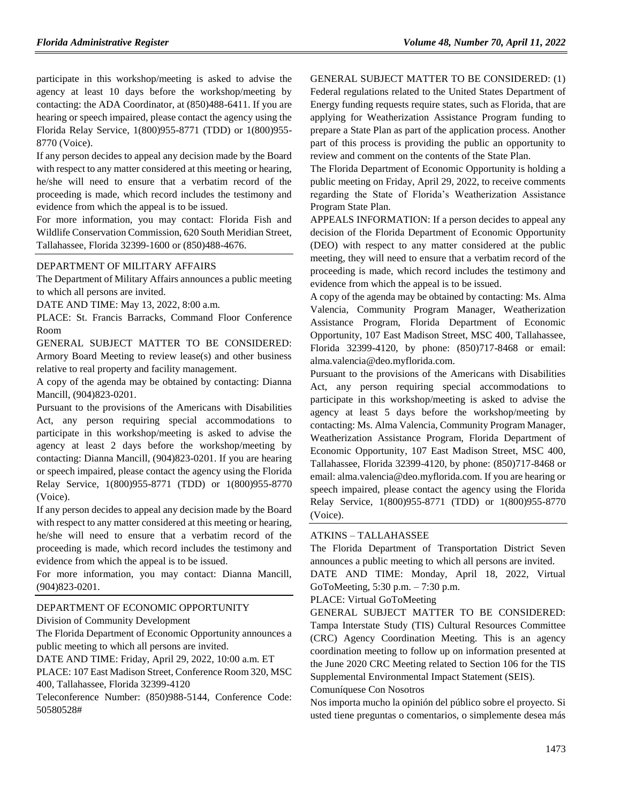participate in this workshop/meeting is asked to advise the agency at least 10 days before the workshop/meeting by contacting: the ADA Coordinator, at (850)488-6411. If you are hearing or speech impaired, please contact the agency using the Florida Relay Service, 1(800)955-8771 (TDD) or 1(800)955- 8770 (Voice).

If any person decides to appeal any decision made by the Board with respect to any matter considered at this meeting or hearing, he/she will need to ensure that a verbatim record of the proceeding is made, which record includes the testimony and evidence from which the appeal is to be issued.

For more information, you may contact: Florida Fish and Wildlife Conservation Commission, 620 South Meridian Street, Tallahassee, Florida 32399-1600 or (850)488-4676.

#### [DEPARTMENT OF MILITARY AFFAIRS](https://www.flrules.org/gateway/department.asp?id=70)

The Department of Military Affairs announces a public meeting to which all persons are invited.

DATE AND TIME: May 13, 2022, 8:00 a.m.

PLACE: St. Francis Barracks, Command Floor Conference Room

GENERAL SUBJECT MATTER TO BE CONSIDERED: Armory Board Meeting to review lease(s) and other business relative to real property and facility management.

A copy of the agenda may be obtained by contacting: Dianna Mancill, (904)823-0201.

Pursuant to the provisions of the Americans with Disabilities Act, any person requiring special accommodations to participate in this workshop/meeting is asked to advise the agency at least 2 days before the workshop/meeting by contacting: Dianna Mancill, (904)823-0201. If you are hearing or speech impaired, please contact the agency using the Florida Relay Service, 1(800)955-8771 (TDD) or 1(800)955-8770 (Voice).

If any person decides to appeal any decision made by the Board with respect to any matter considered at this meeting or hearing, he/she will need to ensure that a verbatim record of the proceeding is made, which record includes the testimony and evidence from which the appeal is to be issued.

For more information, you may contact: Dianna Mancill, (904)823-0201.

#### [DEPARTMENT OF ECONOMIC OPPORTUNITY](https://www.flrules.org/gateway/department.asp?id=73)

[Division of Community Development](https://www.flrules.org/gateway/organization.asp?id=1066)

The Florida Department of Economic Opportunity announces a public meeting to which all persons are invited.

DATE AND TIME: Friday, April 29, 2022, 10:00 a.m. ET

PLACE: 107 East Madison Street, Conference Room 320, MSC 400, Tallahassee, Florida 32399-4120

Teleconference Number: (850)988-5144, Conference Code: 50580528#

GENERAL SUBJECT MATTER TO BE CONSIDERED: (1)

Federal regulations related to the United States Department of Energy funding requests require states, such as Florida, that are applying for Weatherization Assistance Program funding to prepare a State Plan as part of the application process. Another part of this process is providing the public an opportunity to review and comment on the contents of the State Plan.

The Florida Department of Economic Opportunity is holding a public meeting on Friday, April 29, 2022, to receive comments regarding the State of Florida's Weatherization Assistance Program State Plan.

APPEALS INFORMATION: If a person decides to appeal any decision of the Florida Department of Economic Opportunity (DEO) with respect to any matter considered at the public meeting, they will need to ensure that a verbatim record of the proceeding is made, which record includes the testimony and evidence from which the appeal is to be issued.

A copy of the agenda may be obtained by contacting: Ms. Alma Valencia, Community Program Manager, Weatherization Assistance Program, Florida Department of Economic Opportunity, 107 East Madison Street, MSC 400, Tallahassee, Florida 32399-4120, by phone: (850)717-8468 or email: alma.valencia@deo.myflorida.com.

Pursuant to the provisions of the Americans with Disabilities Act, any person requiring special accommodations to participate in this workshop/meeting is asked to advise the agency at least 5 days before the workshop/meeting by contacting: Ms. Alma Valencia, Community Program Manager, Weatherization Assistance Program, Florida Department of Economic Opportunity, 107 East Madison Street, MSC 400, Tallahassee, Florida 32399-4120, by phone: (850)717-8468 or email: alma.valencia@deo.myflorida.com. If you are hearing or speech impaired, please contact the agency using the Florida Relay Service, 1(800)955-8771 (TDD) or 1(800)955-8770 (Voice).

#### ATKINS – [TALLAHASSEE](https://www.flrules.org/gateway/organization.asp?id=903)

The Florida Department of Transportation District Seven announces a public meeting to which all persons are invited.

DATE AND TIME: Monday, April 18, 2022, Virtual GoToMeeting, 5:30 p.m. – 7:30 p.m.

#### PLACE: Virtual GoToMeeting

GENERAL SUBJECT MATTER TO BE CONSIDERED: Tampa Interstate Study (TIS) Cultural Resources Committee (CRC) Agency Coordination Meeting. This is an agency coordination meeting to follow up on information presented at the June 2020 CRC Meeting related to Section 106 for the TIS Supplemental Environmental Impact Statement (SEIS).

#### Comuníquese Con Nosotros

Nos importa mucho la opinión del público sobre el proyecto. Si usted tiene preguntas o comentarios, o simplemente desea más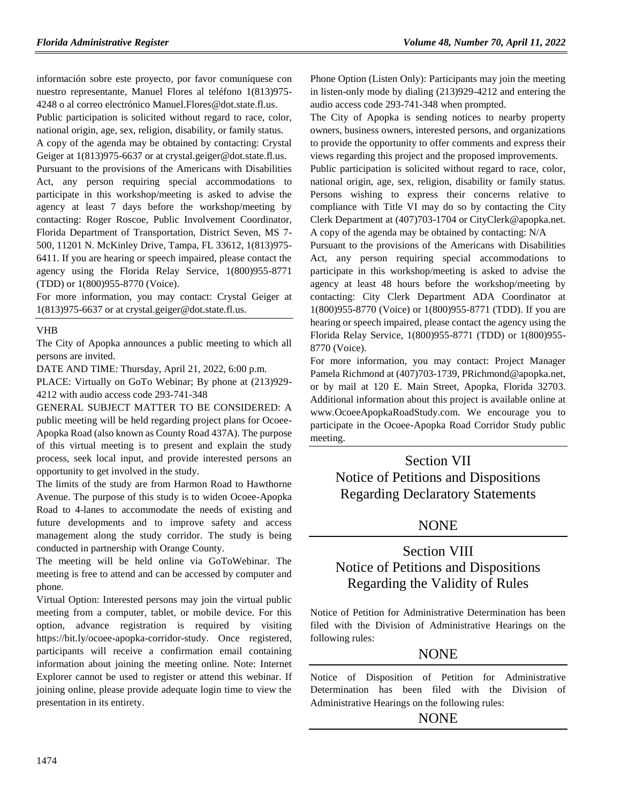información sobre este proyecto, por favor comuníquese con nuestro representante, Manuel Flores al teléfono 1(813)975- 4248 o al correo electrónico Manuel.Flores@dot.state.fl.us. Public participation is solicited without regard to race, color, national origin, age, sex, religion, disability, or family status. A copy of the agenda may be obtained by contacting: Crystal Geiger at 1(813)975-6637 or at crystal.geiger@dot.state.fl.us. Pursuant to the provisions of the Americans with Disabilities Act, any person requiring special accommodations to participate in this workshop/meeting is asked to advise the agency at least 7 days before the workshop/meeting by contacting: Roger Roscoe, Public Involvement Coordinator, Florida Department of Transportation, District Seven, MS 7- 500, 11201 N. McKinley Drive, Tampa, FL 33612, 1(813)975- 6411. If you are hearing or speech impaired, please contact the agency using the Florida Relay Service, 1(800)955-8771 (TDD) or 1(800)955-8770 (Voice).

For more information, you may contact: Crystal Geiger at 1(813)975-6637 or at crystal.geiger@dot.state.fl.us.

#### [VHB](https://www.flrules.org/gateway/organization.asp?id=1207)

The City of Apopka announces a public meeting to which all persons are invited.

DATE AND TIME: Thursday, April 21, 2022, 6:00 p.m.

PLACE: Virtually on GoTo Webinar; By phone at (213)929- 4212 with audio access code 293-741-348

GENERAL SUBJECT MATTER TO BE CONSIDERED: A public meeting will be held regarding project plans for Ocoee-Apopka Road (also known as County Road 437A). The purpose of this virtual meeting is to present and explain the study process, seek local input, and provide interested persons an opportunity to get involved in the study.

The limits of the study are from Harmon Road to Hawthorne Avenue. The purpose of this study is to widen Ocoee-Apopka Road to 4-lanes to accommodate the needs of existing and future developments and to improve safety and access management along the study corridor. The study is being conducted in partnership with Orange County.

The meeting will be held online via GoToWebinar. The meeting is free to attend and can be accessed by computer and phone.

Virtual Option: Interested persons may join the virtual public meeting from a computer, tablet, or mobile device. For this option, advance registration is required by visiting https://bit.ly/ocoee-apopka-corridor-study. Once registered, participants will receive a confirmation email containing information about joining the meeting online. Note: Internet Explorer cannot be used to register or attend this webinar. If joining online, please provide adequate login time to view the presentation in its entirety.

Phone Option (Listen Only): Participants may join the meeting in listen-only mode by dialing (213)929-4212 and entering the audio access code 293-741-348 when prompted.

The City of Apopka is sending notices to nearby property owners, business owners, interested persons, and organizations to provide the opportunity to offer comments and express their views regarding this project and the proposed improvements.

Public participation is solicited without regard to race, color, national origin, age, sex, religion, disability or family status. Persons wishing to express their concerns relative to compliance with Title VI may do so by contacting the City Clerk Department at (407)703-1704 or CityClerk@apopka.net. A copy of the agenda may be obtained by contacting: N/A

Pursuant to the provisions of the Americans with Disabilities Act, any person requiring special accommodations to participate in this workshop/meeting is asked to advise the agency at least 48 hours before the workshop/meeting by contacting: City Clerk Department ADA Coordinator at 1(800)955-8770 (Voice) or 1(800)955-8771 (TDD). If you are hearing or speech impaired, please contact the agency using the Florida Relay Service, 1(800)955-8771 (TDD) or 1(800)955- 8770 (Voice).

For more information, you may contact: Project Manager Pamela Richmond at (407)703-1739, PRichmond@apopka.net, or by mail at 120 E. Main Street, Apopka, Florida 32703. Additional information about this project is available online at www.OcoeeApopkaRoadStudy.com. We encourage you to participate in the Ocoee-Apopka Road Corridor Study public meeting.

## Section VII Notice of Petitions and Dispositions Regarding Declaratory Statements

## **NONE**

## Section VIII Notice of Petitions and Dispositions Regarding the Validity of Rules

Notice of Petition for Administrative Determination has been filed with the Division of Administrative Hearings on the following rules:

### **NONE**

Notice of Disposition of Petition for Administrative Determination has been filed with the Division of Administrative Hearings on the following rules:

## NONE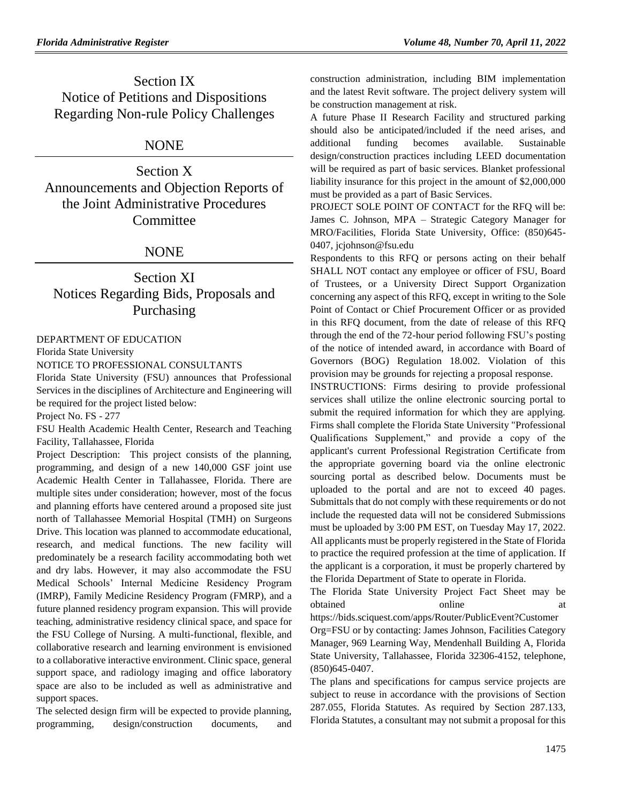Section IX Notice of Petitions and Dispositions Regarding Non-rule Policy Challenges

## NONE

Section X Announcements and Objection Reports of the Joint Administrative Procedures Committee

### NONE

## Section XI Notices Regarding Bids, Proposals and Purchasing

[DEPARTMENT OF EDUCATION](https://www.flrules.org/gateway/department.asp?id=6)

[Florida State University](https://www.flrules.org/gateway/organization.asp?id=200)

NOTICE TO PROFESSIONAL CONSULTANTS

Florida State University (FSU) announces that Professional Services in the disciplines of Architecture and Engineering will be required for the project listed below:

Project No. FS - 277

FSU Health Academic Health Center, Research and Teaching Facility, Tallahassee, Florida

Project Description: This project consists of the planning, programming, and design of a new 140,000 GSF joint use Academic Health Center in Tallahassee, Florida. There are multiple sites under consideration; however, most of the focus and planning efforts have centered around a proposed site just north of Tallahassee Memorial Hospital (TMH) on Surgeons Drive. This location was planned to accommodate educational, research, and medical functions. The new facility will predominately be a research facility accommodating both wet and dry labs. However, it may also accommodate the FSU Medical Schools' Internal Medicine Residency Program (IMRP), Family Medicine Residency Program (FMRP), and a future planned residency program expansion. This will provide teaching, administrative residency clinical space, and space for the FSU College of Nursing. A multi-functional, flexible, and collaborative research and learning environment is envisioned to a collaborative interactive environment. Clinic space, general support space, and radiology imaging and office laboratory space are also to be included as well as administrative and support spaces.

The selected design firm will be expected to provide planning, programming, design/construction documents, and construction administration, including BIM implementation and the latest Revit software. The project delivery system will be construction management at risk.

A future Phase II Research Facility and structured parking should also be anticipated/included if the need arises, and additional funding becomes available. Sustainable design/construction practices including LEED documentation will be required as part of basic services. Blanket professional liability insurance for this project in the amount of \$2,000,000 must be provided as a part of Basic Services.

PROJECT SOLE POINT OF CONTACT for the RFQ will be: James C. Johnson, MPA – Strategic Category Manager for MRO/Facilities, Florida State University, Office: (850)645- 0407, jcjohnson@fsu.edu

Respondents to this RFQ or persons acting on their behalf SHALL NOT contact any employee or officer of FSU, Board of Trustees, or a University Direct Support Organization concerning any aspect of this RFQ, except in writing to the Sole Point of Contact or Chief Procurement Officer or as provided in this RFQ document, from the date of release of this RFQ through the end of the 72-hour period following FSU's posting of the notice of intended award, in accordance with Board of Governors (BOG) Regulation 18.002. Violation of this provision may be grounds for rejecting a proposal response.

INSTRUCTIONS: Firms desiring to provide professional services shall utilize the online electronic sourcing portal to submit the required information for which they are applying. Firms shall complete the Florida State University "Professional Qualifications Supplement," and provide a copy of the applicant's current Professional Registration Certificate from the appropriate governing board via the online electronic sourcing portal as described below. Documents must be uploaded to the portal and are not to exceed 40 pages. Submittals that do not comply with these requirements or do not include the requested data will not be considered Submissions must be uploaded by 3:00 PM EST, on Tuesday May 17, 2022. All applicants must be properly registered in the State of Florida to practice the required profession at the time of application. If the applicant is a corporation, it must be properly chartered by the Florida Department of State to operate in Florida.

The Florida State University Project Fact Sheet may be obtained at online at a contained at a contact at a contact at a contact at a contact at a contact at a contact at a contact at a contact at a contact at a contact at  $\alpha$  contact at a contact at a contact at a contact at

[https://bids.sciquest.com/apps/Router/PublicEvent?Customer](https://bids.sciquest.com/apps/Router/PublicEvent?CustomerOrg=FSU) [Org=FSU](https://bids.sciquest.com/apps/Router/PublicEvent?CustomerOrg=FSU) or by contacting: James Johnson, Facilities Category Manager, 969 Learning Way, Mendenhall Building A, Florida State University, Tallahassee, Florida 32306-4152, telephone, (850)645-0407.

The plans and specifications for campus service projects are subject to reuse in accordance with the provisions of Section 287.055, Florida Statutes. As required by Section 287.133, Florida Statutes, a consultant may not submit a proposal for this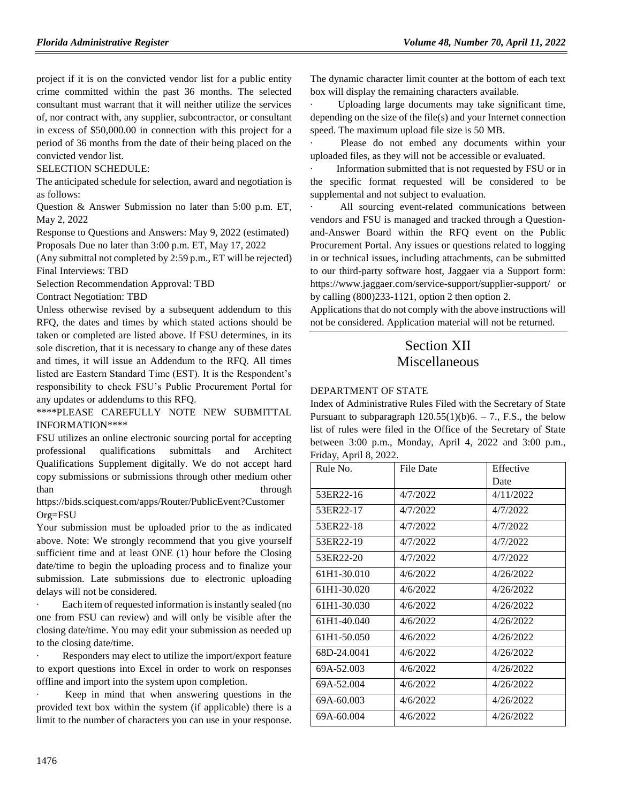project if it is on the convicted vendor list for a public entity crime committed within the past 36 months. The selected consultant must warrant that it will neither utilize the services of, nor contract with, any supplier, subcontractor, or consultant in excess of \$50,000.00 in connection with this project for a period of 36 months from the date of their being placed on the convicted vendor list.

#### SELECTION SCHEDULE:

The anticipated schedule for selection, award and negotiation is as follows:

Question & Answer Submission no later than 5:00 p.m. ET, May 2, 2022

Response to Questions and Answers: May 9, 2022 (estimated) Proposals Due no later than 3:00 p.m. ET, May 17, 2022

(Any submittal not completed by 2:59 p.m., ET will be rejected) Final Interviews: TBD

Selection Recommendation Approval: TBD

Contract Negotiation: TBD

Unless otherwise revised by a subsequent addendum to this RFQ, the dates and times by which stated actions should be taken or completed are listed above. If FSU determines, in its sole discretion, that it is necessary to change any of these dates and times, it will issue an Addendum to the RFQ. All times listed are Eastern Standard Time (EST). It is the Respondent's responsibility to check FSU's Public Procurement Portal for any updates or addendums to this RFQ.

\*\*\*\*PLEASE CAREFULLY NOTE NEW SUBMITTAL INFORMATION\*\*\*\*

FSU utilizes an online electronic sourcing portal for accepting professional qualifications submittals and Architect Qualifications Supplement digitally. We do not accept hard copy submissions or submissions through other medium other than through the through through the state of  $\mathcal{L}$ 

[https://bids.sciquest.com/apps/Router/PublicEvent?Customer](https://bids.sciquest.com/apps/Router/PublicEvent?CustomerOrg=FSU) [Org=FSU](https://bids.sciquest.com/apps/Router/PublicEvent?CustomerOrg=FSU)

Your submission must be uploaded prior to the as indicated above. Note: We strongly recommend that you give yourself sufficient time and at least ONE (1) hour before the Closing date/time to begin the uploading process and to finalize your submission. Late submissions due to electronic uploading delays will not be considered.

Each item of requested information is instantly sealed (no one from FSU can review) and will only be visible after the closing date/time. You may edit your submission as needed up to the closing date/time.

Responders may elect to utilize the import/export feature to export questions into Excel in order to work on responses offline and import into the system upon completion.

Keep in mind that when answering questions in the provided text box within the system (if applicable) there is a limit to the number of characters you can use in your response.

The dynamic character limit counter at the bottom of each text box will display the remaining characters available.

Uploading large documents may take significant time, depending on the size of the file(s) and your Internet connection speed. The maximum upload file size is 50 MB.

Please do not embed any documents within your uploaded files, as they will not be accessible or evaluated.

Information submitted that is not requested by FSU or in the specific format requested will be considered to be supplemental and not subject to evaluation.

All sourcing event-related communications between vendors and FSU is managed and tracked through a Questionand-Answer Board within the RFQ event on the Public Procurement Portal. Any issues or questions related to logging in or technical issues, including attachments, can be submitted to our third-party software host, Jaggaer via a Support form: https://www.jaggaer.com/service-support/supplier-support/ or by calling (800)233-1121, option 2 then option 2.

Applications that do not comply with the above instructions will not be considered. Application material will not be returned.

## Section XII Miscellaneous

#### [DEPARTMENT OF STATE](https://www.flrules.org/gateway/department.asp?id=1)

Index of Administrative Rules Filed with the Secretary of State Pursuant to subparagraph  $120.55(1)(b)6. - 7$ ., F.S., the below list of rules were filed in the Office of the Secretary of State between 3:00 p.m., Monday, April 4, 2022 and 3:00 p.m., Friday, April 8, 2022.

| Rule No.    | File Date | Effective |
|-------------|-----------|-----------|
|             |           | Date      |
| 53ER22-16   | 4/7/2022  | 4/11/2022 |
| 53ER22-17   | 4/7/2022  | 4/7/2022  |
| 53ER22-18   | 4/7/2022  | 4/7/2022  |
| 53ER22-19   | 4/7/2022  | 4/7/2022  |
| 53ER22-20   | 4/7/2022  | 4/7/2022  |
| 61H1-30.010 | 4/6/2022  | 4/26/2022 |
| 61H1-30.020 | 4/6/2022  | 4/26/2022 |
| 61H1-30.030 | 4/6/2022  | 4/26/2022 |
| 61H1-40.040 | 4/6/2022  | 4/26/2022 |
| 61H1-50.050 | 4/6/2022  | 4/26/2022 |
| 68D-24.0041 | 4/6/2022  | 4/26/2022 |
| 69A-52.003  | 4/6/2022  | 4/26/2022 |
| 69A-52.004  | 4/6/2022  | 4/26/2022 |
| 69A-60.003  | 4/6/2022  | 4/26/2022 |
| 69A-60.004  | 4/6/2022  | 4/26/2022 |